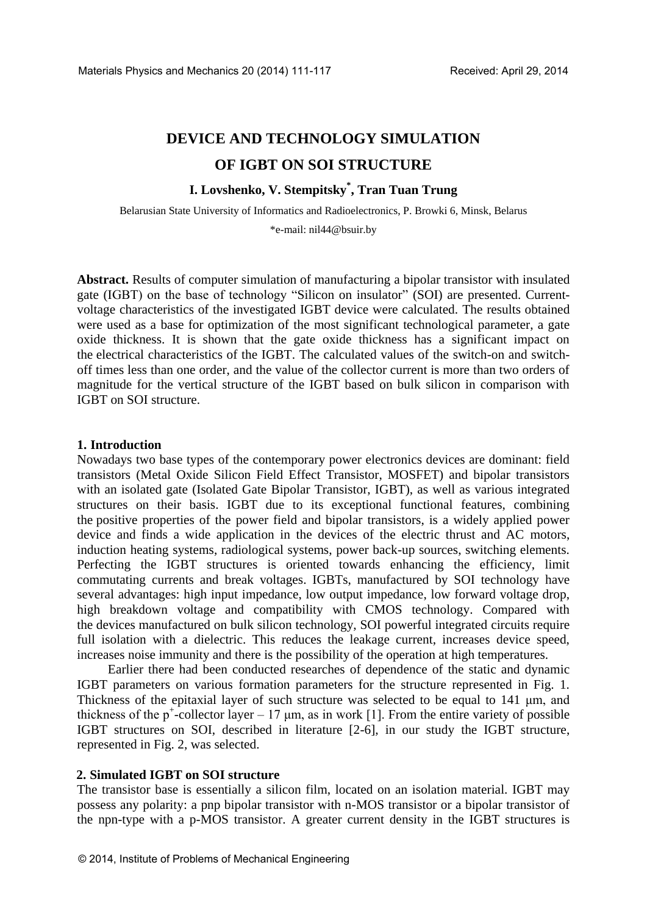# **DEVICE AND TECHNOLOGY SIMULATION OF IGBT ON SOI STRUCTURE**

# **I. Lovshenko, V. Stempitsky\* , Tran Tuan Trung**

Belarusian State University of Informatics and Radioelectronics, P. Browki 6, Minsk, Belarus

\*e-mail: nil44@bsuir.by

**Abstract.** Results of computer simulation of manufacturing a bipolar transistor with insulated gate (IGBT) on the base of technology "Silicon on insulator" (SOI) are presented. Currentvoltage characteristics of the investigated IGBT device were calculated. The results obtained were used as a base for optimization of the most significant technological parameter, a gate oxide thickness. It is shown that the gate oxide thickness has a significant impact on the electrical characteristics of the IGBT. The calculated values of the switch-on and switchoff times less than one order, and the value of the collector current is more than two orders of magnitude for the vertical structure of the IGBT based on bulk silicon in comparison with IGBT on SOI structure.

## **1. Introduction**

Nowadays two base types of the contemporary power electronics devices are dominant: field transistors (Metal Oxide Silicon Field Effect Transistor, MOSFET) and bipolar transistors with an isolated gate (Isolated Gate Bipolar Transistor, IGBT), as well as various integrated structures on their basis. IGBT due to its exceptional functional features, combining the positive properties of the power field and bipolar transistors, is a widely applied power device and finds a wide application in the devices of the electric thrust and AC motors, induction heating systems, radiological systems, power back-up sources, switching elements. Perfecting the IGBT structures is oriented towards enhancing the efficiency, limit commutating currents and break voltages. IGBTs, manufactured by SOI technology have several advantages: high input impedance, low output impedance, low forward voltage drop, high breakdown voltage and compatibility with CMOS technology. Compared with the devices manufactured on bulk silicon technology, SOI powerful integrated circuits require full isolation with a dielectric. This reduces the leakage current, increases device speed, increases noise immunity and there is the possibility of the operation at high temperatures.

Earlier there had been conducted researches of dependence of the static and dynamic IGBT parameters on various formation parameters for the structure represented in Fig. 1. Thickness of the epitaxial layer of such structure was selected to be equal to 141 μm, and thickness of the  $p^+$ -collector layer – 17  $\mu$ m, as in work [1]. From the entire variety of possible IGBT structures on SOI, described in literature [2-6], in our study the IGBT structure, represented in Fig. 2, was selected.

## **2. Simulated IGBT on SOI structure**

The transistor base is essentially a silicon film, located on an isolation material. IGBT may possess any polarity: a pnp bipolar transistor with n-MOS transistor or a bipolar transistor of the npn-type with a p-MOS transistor. A greater current density in the IGBT structures is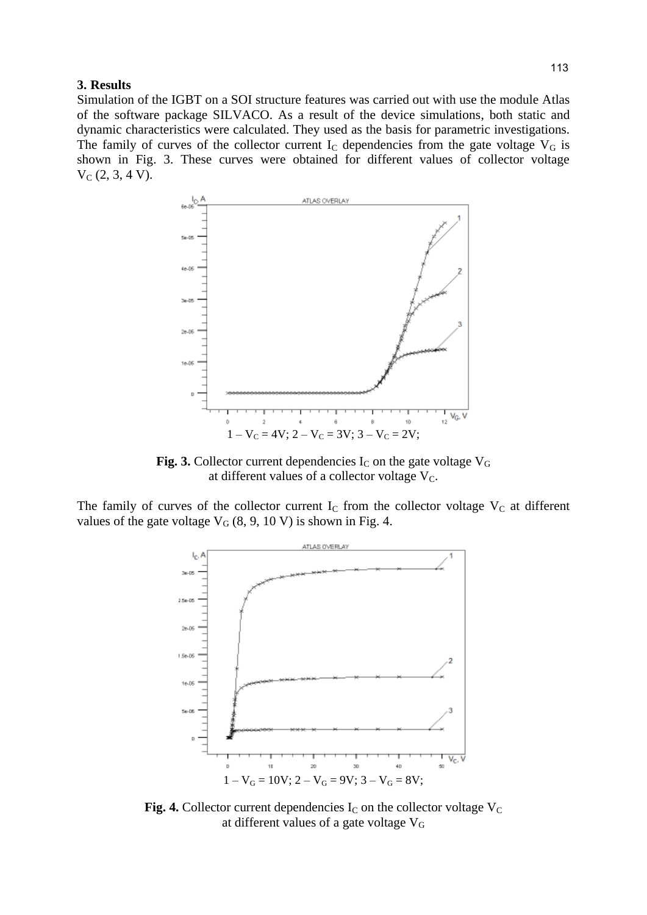#### **3. Results**

Simulation of the IGBT on a SOI structure features was carried out with use the module Atlas of the software package SILVACO. As a result of the device simulations, both static and dynamic characteristics were calculated. They used as the basis for parametric investigations. The family of curves of the collector current  $I_c$  dependencies from the gate voltage  $V_G$  is shown in Fig. 3. These curves were obtained for different values of collector voltage  $V_C$  (2, 3, 4 V).



**Fig. 3.** Collector current dependencies  $I_C$  on the gate voltage  $V_G$ at different values of a collector voltage  $V_C$ .

The family of curves of the collector current  $I_c$  from the collector voltage  $V_c$  at different values of the gate voltage  $V_G$  (8, 9, 10 V) is shown in Fig. 4.



**Fig. 4.** Collector current dependencies  $I_c$  on the collector voltage  $V_c$ at different values of a gate voltage V<sup>G</sup>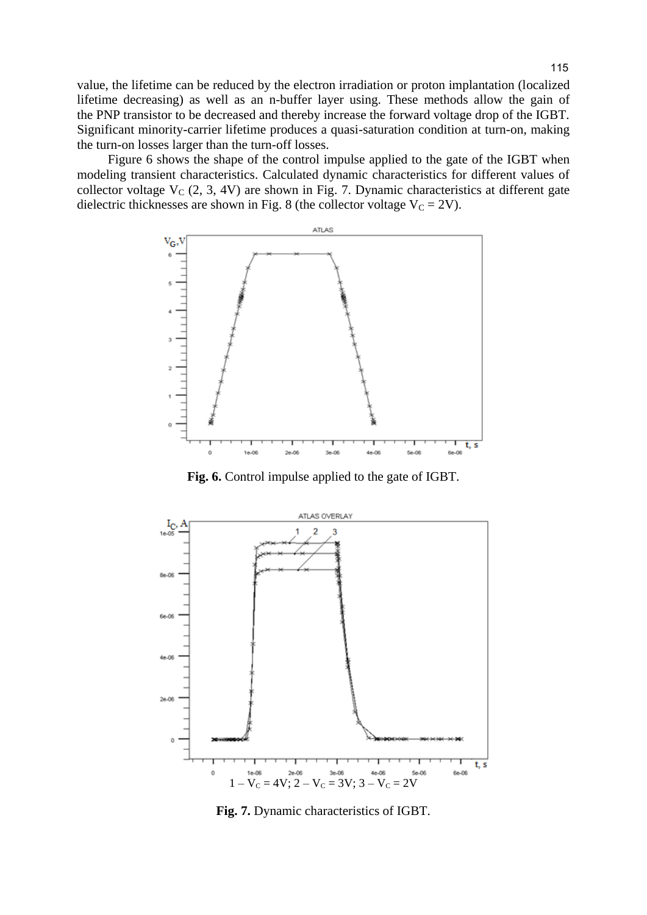value, the lifetime can be reduced by the electron irradiation or proton implantation (localized lifetime decreasing) as well as an n-buffer layer using. These methods allow the gain of the PNP transistor to be decreased and thereby increase the forward voltage drop of the IGBT. Significant minority-carrier lifetime produces a quasi-saturation condition at turn-on, making the turn-on losses larger than the turn-off losses.

Figure 6 shows the shape of the control impulse applied to the gate of the IGBT when modeling transient characteristics. Calculated dynamic characteristics for different values of collector voltage  $V_C$  (2, 3, 4V) are shown in Fig. 7. Dynamic characteristics at different gate dielectric thicknesses are shown in Fig. 8 (the collector voltage  $V_C = 2V$ ).



**Fig. 6.** Control impulse applied to the gate of IGBT.



**Fig. 7.** Dynamic characteristics of IGBT.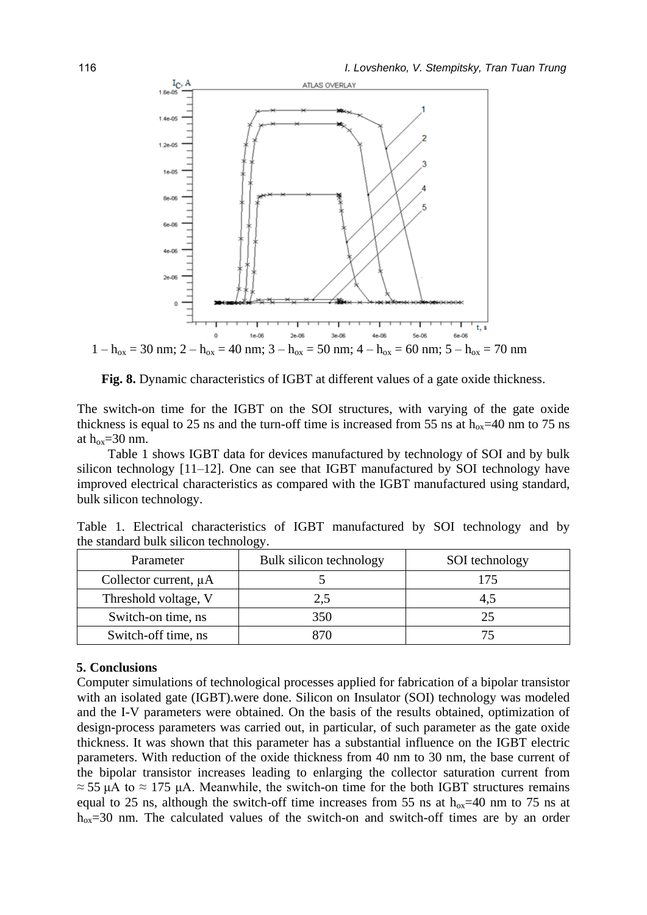

**Fig. 8.** Dynamic characteristics of IGBT at different values of a gate oxide thickness.

The switch-on time for the IGBT on the SOI structures, with varying of the gate oxide thickness is equal to 25 ns and the turn-off time is increased from 55 ns at  $h_{ox}$ =40 nm to 75 ns at  $h_{ox} = 30$  nm.

Table 1 shows IGBT data for devices manufactured by technology of SOI and by bulk silicon technology [11–12]. One can see that IGBT manufactured by SOI technology have improved electrical characteristics as compared with the IGBT manufactured using standard, bulk silicon technology.

Table 1. Electrical characteristics of IGBT manufactured by SOI technology and by the standard bulk silicon technology.

| Parameter                  | Bulk silicon technology | SOI technology |
|----------------------------|-------------------------|----------------|
| Collector current, $\mu A$ |                         | 175            |
| Threshold voltage, V       |                         | 4.5            |
| Switch-on time, ns         | 350                     | 25             |
| Switch-off time, ns        |                         |                |

#### **5. Conclusions**

Computer simulations of technological processes applied for fabrication of a bipolar transistor with an isolated gate (IGBT), were done. Silicon on Insulator (SOI) technology was modeled and the I-V parameters were obtained. On the basis of the results obtained, optimization of design-process parameters was carried out, in particular, of such parameter as the gate oxide thickness. It was shown that this parameter has a substantial influence on the IGBT electric parameters. With reduction of the oxide thickness from 40 nm to 30 nm, the base current of the bipolar transistor increases leading to enlarging the collector saturation current from  $\approx$  55 μA to  $\approx$  175 μA. Meanwhile, the switch-on time for the both IGBT structures remains equal to 25 ns, although the switch-off time increases from 55 ns at  $h_{ox}$ =40 nm to 75 ns at  $h_{ox}$ =30 nm. The calculated values of the switch-on and switch-off times are by an order